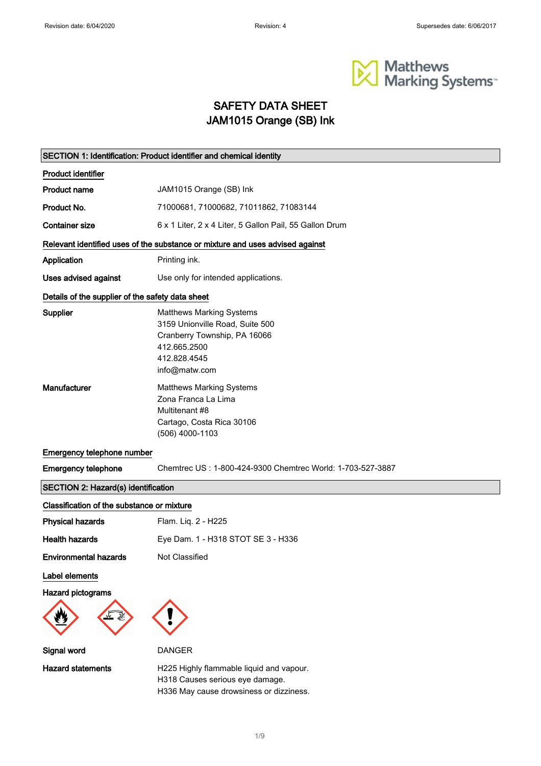

### SAFETY DATA SHEET JAM1015 Orange (SB) Ink

|                                                  | SECTION 1: Identification: Product identifier and chemical identity                                                                                 |
|--------------------------------------------------|-----------------------------------------------------------------------------------------------------------------------------------------------------|
| <b>Product identifier</b>                        |                                                                                                                                                     |
| <b>Product name</b>                              | JAM1015 Orange (SB) Ink                                                                                                                             |
| Product No.                                      | 71000681, 71000682, 71011862, 71083144                                                                                                              |
| <b>Container size</b>                            | 6 x 1 Liter, 2 x 4 Liter, 5 Gallon Pail, 55 Gallon Drum                                                                                             |
|                                                  | Relevant identified uses of the substance or mixture and uses advised against                                                                       |
| Application                                      | Printing ink.                                                                                                                                       |
| Uses advised against                             | Use only for intended applications.                                                                                                                 |
| Details of the supplier of the safety data sheet |                                                                                                                                                     |
| Supplier                                         | <b>Matthews Marking Systems</b><br>3159 Unionville Road, Suite 500<br>Cranberry Township, PA 16066<br>412.665.2500<br>412.828.4545<br>info@matw.com |
| Manufacturer                                     | <b>Matthews Marking Systems</b><br>Zona Franca La Lima<br>Multitenant #8<br>Cartago, Costa Rica 30106<br>(506) 4000-1103                            |
| Emergency telephone number                       |                                                                                                                                                     |
| <b>Emergency telephone</b>                       | Chemtrec US: 1-800-424-9300 Chemtrec World: 1-703-527-3887                                                                                          |
| SECTION 2: Hazard(s) identification              |                                                                                                                                                     |
| Classification of the substance or mixture       |                                                                                                                                                     |
| <b>Physical hazards</b>                          | Flam. Liq. 2 - H225                                                                                                                                 |
| <b>Health hazards</b>                            | Eye Dam. 1 - H318 STOT SE 3 - H336                                                                                                                  |
| <b>Environmental hazards</b>                     | Not Classified                                                                                                                                      |
| Label elements                                   |                                                                                                                                                     |
| Hazard pictograms                                |                                                                                                                                                     |
| Signal word                                      | <b>DANGER</b>                                                                                                                                       |
| <b>Hazard statements</b>                         | H225 Highly flammable liquid and vapour.<br>H318 Causes serious eye damage.<br>H336 May cause drowsiness or dizziness.                              |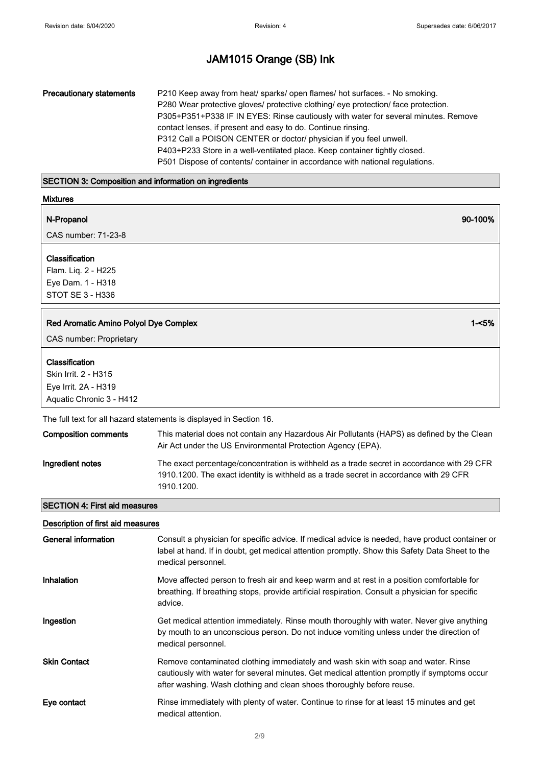| <b>Precautionary statements</b> | P210 Keep away from heat/ sparks/ open flames/ hot surfaces. - No smoking.<br>P280 Wear protective gloves/ protective clothing/ eye protection/ face protection.<br>P305+P351+P338 IF IN EYES: Rinse cautiously with water for several minutes. Remove<br>contact lenses, if present and easy to do. Continue rinsing.<br>P312 Call a POISON CENTER or doctor/ physician if you feel unwell.<br>P403+P233 Store in a well-ventilated place. Keep container tightly closed. |
|---------------------------------|----------------------------------------------------------------------------------------------------------------------------------------------------------------------------------------------------------------------------------------------------------------------------------------------------------------------------------------------------------------------------------------------------------------------------------------------------------------------------|
|                                 | P501 Dispose of contents/ container in accordance with national regulations.                                                                                                                                                                                                                                                                                                                                                                                               |

### SECTION 3: Composition and information on ingredients

| <b>Mixtures</b>                                                                |          |
|--------------------------------------------------------------------------------|----------|
| N-Propanol<br>CAS number: 71-23-8                                              | 90-100%  |
|                                                                                |          |
| Classification<br>Flam. Liq. 2 - H225<br>Eye Dam. 1 - H318<br>STOT SE 3 - H336 |          |
| Red Aromatic Amino Polyol Dye Complex                                          | $1 - 5%$ |
| CAS number: Proprietary                                                        |          |
| Classification<br>Skin Irrit. 2 - H315<br>Eye Irrit. 2A - H319                 |          |

The full text for all hazard statements is displayed in Section 16.

| <b>Composition comments</b> | This material does not contain any Hazardous Air Pollutants (HAPS) as defined by the Clean<br>Air Act under the US Environmental Protection Agency (EPA).                                         |
|-----------------------------|---------------------------------------------------------------------------------------------------------------------------------------------------------------------------------------------------|
| Ingredient notes            | The exact percentage/concentration is withheld as a trade secret in accordance with 29 CFR<br>1910.1200. The exact identity is withheld as a trade secret in accordance with 29 CFR<br>1910.1200. |

### SECTION 4: First aid measures

| Description of first aid measures |  |  |
|-----------------------------------|--|--|
|                                   |  |  |

| General information | Consult a physician for specific advice. If medical advice is needed, have product container or<br>label at hand. If in doubt, get medical attention promptly. Show this Safety Data Sheet to the<br>medical personnel.                                   |
|---------------------|-----------------------------------------------------------------------------------------------------------------------------------------------------------------------------------------------------------------------------------------------------------|
| <b>Inhalation</b>   | Move affected person to fresh air and keep warm and at rest in a position comfortable for<br>breathing. If breathing stops, provide artificial respiration. Consult a physician for specific<br>advice.                                                   |
| Ingestion           | Get medical attention immediately. Rinse mouth thoroughly with water. Never give anything<br>by mouth to an unconscious person. Do not induce vomiting unless under the direction of<br>medical personnel.                                                |
| <b>Skin Contact</b> | Remove contaminated clothing immediately and wash skin with soap and water. Rinse<br>cautiously with water for several minutes. Get medical attention promptly if symptoms occur<br>after washing. Wash clothing and clean shoes thoroughly before reuse. |
| Eye contact         | Rinse immediately with plenty of water. Continue to rinse for at least 15 minutes and get<br>medical attention.                                                                                                                                           |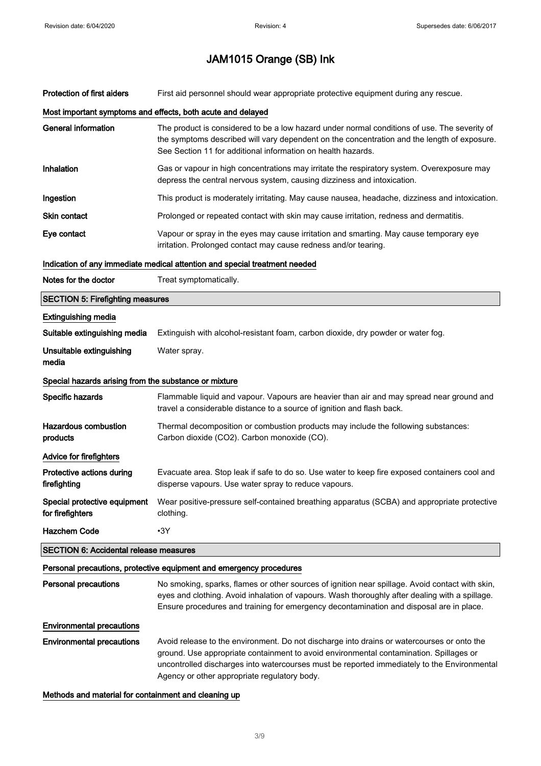| <b>Protection of first aiders</b>                     | First aid personnel should wear appropriate protective equipment during any rescue.                                                                                                                                                                                                                                                 |  |
|-------------------------------------------------------|-------------------------------------------------------------------------------------------------------------------------------------------------------------------------------------------------------------------------------------------------------------------------------------------------------------------------------------|--|
|                                                       | Most important symptoms and effects, both acute and delayed                                                                                                                                                                                                                                                                         |  |
| <b>General information</b>                            | The product is considered to be a low hazard under normal conditions of use. The severity of<br>the symptoms described will vary dependent on the concentration and the length of exposure.<br>See Section 11 for additional information on health hazards.                                                                         |  |
| Inhalation                                            | Gas or vapour in high concentrations may irritate the respiratory system. Overexposure may<br>depress the central nervous system, causing dizziness and intoxication.                                                                                                                                                               |  |
| Ingestion                                             | This product is moderately irritating. May cause nausea, headache, dizziness and intoxication.                                                                                                                                                                                                                                      |  |
| <b>Skin contact</b>                                   | Prolonged or repeated contact with skin may cause irritation, redness and dermatitis.                                                                                                                                                                                                                                               |  |
| Eye contact                                           | Vapour or spray in the eyes may cause irritation and smarting. May cause temporary eye<br>irritation. Prolonged contact may cause redness and/or tearing.                                                                                                                                                                           |  |
|                                                       | Indication of any immediate medical attention and special treatment needed                                                                                                                                                                                                                                                          |  |
| Notes for the doctor                                  | Treat symptomatically.                                                                                                                                                                                                                                                                                                              |  |
| <b>SECTION 5: Firefighting measures</b>               |                                                                                                                                                                                                                                                                                                                                     |  |
| <b>Extinguishing media</b>                            |                                                                                                                                                                                                                                                                                                                                     |  |
| Suitable extinguishing media                          | Extinguish with alcohol-resistant foam, carbon dioxide, dry powder or water fog.                                                                                                                                                                                                                                                    |  |
| Unsuitable extinguishing<br>media                     | Water spray.                                                                                                                                                                                                                                                                                                                        |  |
| Special hazards arising from the substance or mixture |                                                                                                                                                                                                                                                                                                                                     |  |
| Specific hazards                                      | Flammable liquid and vapour. Vapours are heavier than air and may spread near ground and<br>travel a considerable distance to a source of ignition and flash back.                                                                                                                                                                  |  |
| <b>Hazardous combustion</b><br>products               | Thermal decomposition or combustion products may include the following substances:<br>Carbon dioxide (CO2). Carbon monoxide (CO).                                                                                                                                                                                                   |  |
| Advice for firefighters                               |                                                                                                                                                                                                                                                                                                                                     |  |
| Protective actions during<br>firefighting             | Evacuate area. Stop leak if safe to do so. Use water to keep fire exposed containers cool and<br>disperse vapours. Use water spray to reduce vapours.                                                                                                                                                                               |  |
| Special protective equipment<br>for firefighters      | Wear positive-pressure self-contained breathing apparatus (SCBA) and appropriate protective<br>clothing.                                                                                                                                                                                                                            |  |
| <b>Hazchem Code</b>                                   | $-3Y$                                                                                                                                                                                                                                                                                                                               |  |
| <b>SECTION 6: Accidental release measures</b>         |                                                                                                                                                                                                                                                                                                                                     |  |
|                                                       | Personal precautions, protective equipment and emergency procedures                                                                                                                                                                                                                                                                 |  |
| <b>Personal precautions</b>                           | No smoking, sparks, flames or other sources of ignition near spillage. Avoid contact with skin,<br>eyes and clothing. Avoid inhalation of vapours. Wash thoroughly after dealing with a spillage.<br>Ensure procedures and training for emergency decontamination and disposal are in place.                                        |  |
| <b>Environmental precautions</b>                      |                                                                                                                                                                                                                                                                                                                                     |  |
| <b>Environmental precautions</b>                      | Avoid release to the environment. Do not discharge into drains or watercourses or onto the<br>ground. Use appropriate containment to avoid environmental contamination. Spillages or<br>uncontrolled discharges into watercourses must be reported immediately to the Environmental<br>Agency or other appropriate regulatory body. |  |

Methods and material for containment and cleaning up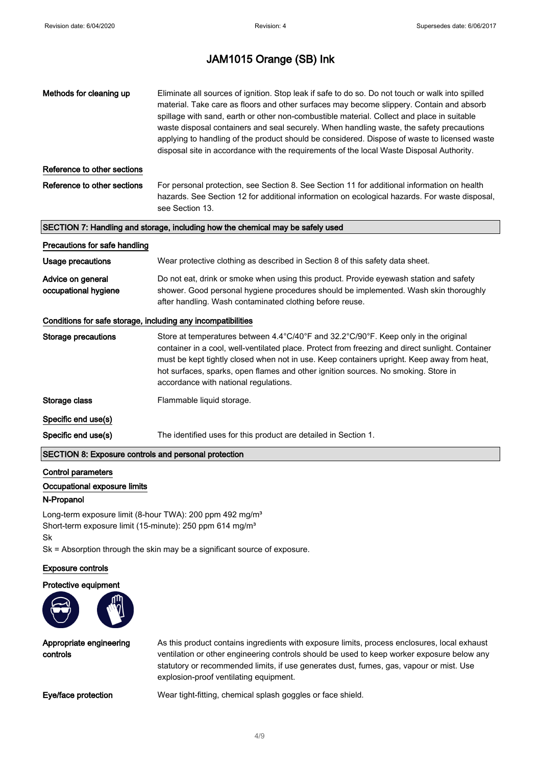| Methods for cleaning up                                      | Eliminate all sources of ignition. Stop leak if safe to do so. Do not touch or walk into spilled<br>material. Take care as floors and other surfaces may become slippery. Contain and absorb<br>spillage with sand, earth or other non-combustible material. Collect and place in suitable<br>waste disposal containers and seal securely. When handling waste, the safety precautions<br>applying to handling of the product should be considered. Dispose of waste to licensed waste<br>disposal site in accordance with the requirements of the local Waste Disposal Authority. |
|--------------------------------------------------------------|------------------------------------------------------------------------------------------------------------------------------------------------------------------------------------------------------------------------------------------------------------------------------------------------------------------------------------------------------------------------------------------------------------------------------------------------------------------------------------------------------------------------------------------------------------------------------------|
| Reference to other sections                                  |                                                                                                                                                                                                                                                                                                                                                                                                                                                                                                                                                                                    |
| Reference to other sections                                  | For personal protection, see Section 8. See Section 11 for additional information on health<br>hazards. See Section 12 for additional information on ecological hazards. For waste disposal,<br>see Section 13.                                                                                                                                                                                                                                                                                                                                                                    |
|                                                              | SECTION 7: Handling and storage, including how the chemical may be safely used                                                                                                                                                                                                                                                                                                                                                                                                                                                                                                     |
| Precautions for safe handling                                |                                                                                                                                                                                                                                                                                                                                                                                                                                                                                                                                                                                    |
| <b>Usage precautions</b>                                     | Wear protective clothing as described in Section 8 of this safety data sheet.                                                                                                                                                                                                                                                                                                                                                                                                                                                                                                      |
| Advice on general<br>occupational hygiene                    | Do not eat, drink or smoke when using this product. Provide eyewash station and safety<br>shower. Good personal hygiene procedures should be implemented. Wash skin thoroughly<br>after handling. Wash contaminated clothing before reuse.                                                                                                                                                                                                                                                                                                                                         |
| Conditions for safe storage, including any incompatibilities |                                                                                                                                                                                                                                                                                                                                                                                                                                                                                                                                                                                    |
| <b>Storage precautions</b>                                   | Store at temperatures between 4.4°C/40°F and 32.2°C/90°F. Keep only in the original<br>container in a cool, well-ventilated place. Protect from freezing and direct sunlight. Container<br>must be kept tightly closed when not in use. Keep containers upright. Keep away from heat,<br>hot surfaces, sparks, open flames and other ignition sources. No smoking. Store in<br>accordance with national regulations.                                                                                                                                                               |
| Storage class                                                | Flammable liquid storage.                                                                                                                                                                                                                                                                                                                                                                                                                                                                                                                                                          |
| Specific end use(s)                                          |                                                                                                                                                                                                                                                                                                                                                                                                                                                                                                                                                                                    |
| Specific end use(s)                                          | The identified uses for this product are detailed in Section 1.                                                                                                                                                                                                                                                                                                                                                                                                                                                                                                                    |
| SECTION 8: Exposure controls and personal protection         |                                                                                                                                                                                                                                                                                                                                                                                                                                                                                                                                                                                    |
| <b>Control parameters</b>                                    |                                                                                                                                                                                                                                                                                                                                                                                                                                                                                                                                                                                    |

### Occupational exposure limits

### N-Propanol

Long-term exposure limit (8-hour TWA): 200 ppm 492 mg/m<sup>3</sup> Short-term exposure limit (15-minute): 250 ppm 614 mg/m<sup>3</sup> Sk

Sk = Absorption through the skin may be a significant source of exposure.

#### Exposure controls

#### Protective equipment



Appropriate engineering controls

As this product contains ingredients with exposure limits, process enclosures, local exhaust ventilation or other engineering controls should be used to keep worker exposure below any statutory or recommended limits, if use generates dust, fumes, gas, vapour or mist. Use explosion-proof ventilating equipment.

Eye/face protection Wear tight-fitting, chemical splash goggles or face shield.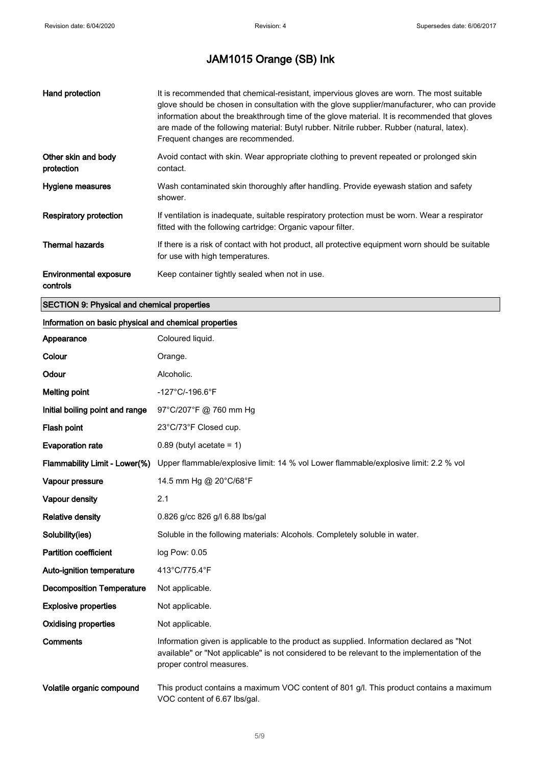| Hand protection                           | It is recommended that chemical-resistant, impervious gloves are worn. The most suitable<br>glove should be chosen in consultation with the glove supplier/manufacturer, who can provide<br>information about the breakthrough time of the glove material. It is recommended that gloves<br>are made of the following material: Butyl rubber. Nitrile rubber. Rubber (natural, latex).<br>Frequent changes are recommended. |
|-------------------------------------------|-----------------------------------------------------------------------------------------------------------------------------------------------------------------------------------------------------------------------------------------------------------------------------------------------------------------------------------------------------------------------------------------------------------------------------|
| Other skin and body<br>protection         | Avoid contact with skin. Wear appropriate clothing to prevent repeated or prolonged skin<br>contact.                                                                                                                                                                                                                                                                                                                        |
| Hygiene measures                          | Wash contaminated skin thoroughly after handling. Provide eyewash station and safety<br>shower.                                                                                                                                                                                                                                                                                                                             |
| <b>Respiratory protection</b>             | If ventilation is inadequate, suitable respiratory protection must be worn. Wear a respirator<br>fitted with the following cartridge: Organic vapour filter.                                                                                                                                                                                                                                                                |
| <b>Thermal hazards</b>                    | If there is a risk of contact with hot product, all protective equipment worn should be suitable<br>for use with high temperatures.                                                                                                                                                                                                                                                                                         |
| <b>Environmental exposure</b><br>controls | Keep container tightly sealed when not in use.                                                                                                                                                                                                                                                                                                                                                                              |

### SECTION 9: Physical and chemical properties

### Information on basic physical and chemical properties

| Appearance                       | Coloured liquid.                                                                                                                                                                                                     |  |
|----------------------------------|----------------------------------------------------------------------------------------------------------------------------------------------------------------------------------------------------------------------|--|
| Colour                           | Orange.                                                                                                                                                                                                              |  |
| Odour                            | Alcoholic.                                                                                                                                                                                                           |  |
| <b>Melting point</b>             | $-127^{\circ}$ C/-196.6 $^{\circ}$ F                                                                                                                                                                                 |  |
| Initial boiling point and range  | 97°C/207°F @ 760 mm Hg                                                                                                                                                                                               |  |
| Flash point                      | 23°C/73°F Closed cup.                                                                                                                                                                                                |  |
| <b>Evaporation rate</b>          | $0.89$ (butyl acetate = 1)                                                                                                                                                                                           |  |
| Flammability Limit - Lower(%)    | Upper flammable/explosive limit: 14 % vol Lower flammable/explosive limit: 2.2 % vol                                                                                                                                 |  |
| Vapour pressure                  | 14.5 mm Hg @ 20°C/68°F                                                                                                                                                                                               |  |
| Vapour density                   | 2.1                                                                                                                                                                                                                  |  |
| <b>Relative density</b>          | 0.826 g/cc 826 g/l 6.88 lbs/gal                                                                                                                                                                                      |  |
| Solubility(ies)                  | Soluble in the following materials: Alcohols. Completely soluble in water.                                                                                                                                           |  |
| <b>Partition coefficient</b>     | log Pow: 0.05                                                                                                                                                                                                        |  |
| Auto-ignition temperature        | 413°C/775.4°F                                                                                                                                                                                                        |  |
| <b>Decomposition Temperature</b> | Not applicable.                                                                                                                                                                                                      |  |
| <b>Explosive properties</b>      | Not applicable.                                                                                                                                                                                                      |  |
| <b>Oxidising properties</b>      | Not applicable.                                                                                                                                                                                                      |  |
| Comments                         | Information given is applicable to the product as supplied. Information declared as "Not<br>available" or "Not applicable" is not considered to be relevant to the implementation of the<br>proper control measures. |  |
| Volatile organic compound        | This product contains a maximum VOC content of 801 g/l. This product contains a maximum<br>VOC content of 6.67 lbs/gal.                                                                                              |  |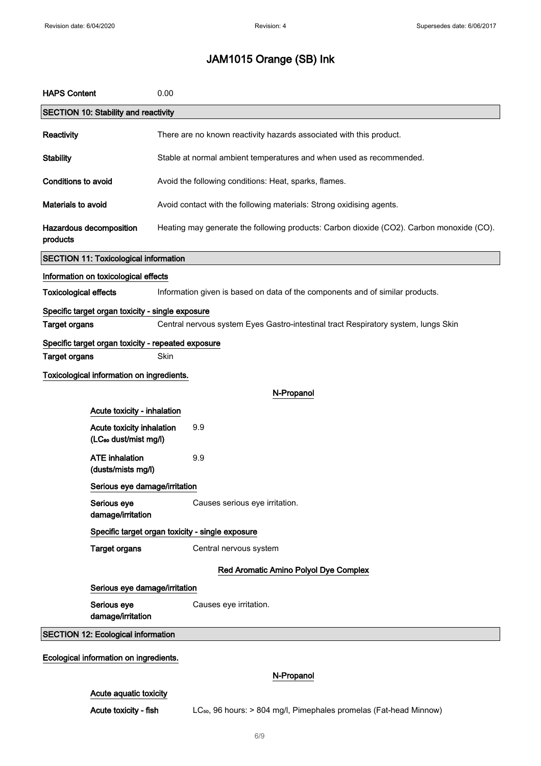| <b>HAPS Content</b>                    |                                                                                                               | 0.00                                                                                     |  |  |  |
|----------------------------------------|---------------------------------------------------------------------------------------------------------------|------------------------------------------------------------------------------------------|--|--|--|
|                                        | <b>SECTION 10: Stability and reactivity</b>                                                                   |                                                                                          |  |  |  |
| <b>Reactivity</b>                      |                                                                                                               | There are no known reactivity hazards associated with this product.                      |  |  |  |
| <b>Stability</b>                       |                                                                                                               | Stable at normal ambient temperatures and when used as recommended.                      |  |  |  |
| <b>Conditions to avoid</b>             |                                                                                                               | Avoid the following conditions: Heat, sparks, flames.                                    |  |  |  |
| Materials to avoid                     |                                                                                                               | Avoid contact with the following materials: Strong oxidising agents.                     |  |  |  |
| products                               | Hazardous decomposition                                                                                       | Heating may generate the following products: Carbon dioxide (CO2). Carbon monoxide (CO). |  |  |  |
|                                        | <b>SECTION 11: Toxicological information</b>                                                                  |                                                                                          |  |  |  |
|                                        | Information on toxicological effects                                                                          |                                                                                          |  |  |  |
|                                        | <b>Toxicological effects</b><br>Information given is based on data of the components and of similar products. |                                                                                          |  |  |  |
|                                        | Specific target organ toxicity - single exposure                                                              |                                                                                          |  |  |  |
| <b>Target organs</b>                   |                                                                                                               | Central nervous system Eyes Gastro-intestinal tract Respiratory system, lungs Skin       |  |  |  |
|                                        |                                                                                                               | Specific target organ toxicity - repeated exposure                                       |  |  |  |
| <b>Target organs</b>                   |                                                                                                               | Skin                                                                                     |  |  |  |
|                                        | Toxicological information on ingredients.                                                                     |                                                                                          |  |  |  |
| N-Propanol                             |                                                                                                               |                                                                                          |  |  |  |
|                                        | Acute toxicity - inhalation                                                                                   |                                                                                          |  |  |  |
|                                        | 9.9<br>Acute toxicity inhalation<br>(LC <sub>50</sub> dust/mist mg/l)                                         |                                                                                          |  |  |  |
|                                        | <b>ATE</b> inhalation<br>(dusts/mists mg/l)                                                                   | 9.9                                                                                      |  |  |  |
|                                        | Serious eye damage/irritation                                                                                 |                                                                                          |  |  |  |
|                                        | Serious eye<br>damage/irritation                                                                              | Causes serious eye irritation.                                                           |  |  |  |
|                                        | Specific target organ toxicity - single exposure                                                              |                                                                                          |  |  |  |
|                                        | <b>Target organs</b>                                                                                          | Central nervous system                                                                   |  |  |  |
| Red Aromatic Amino Polyol Dye Complex  |                                                                                                               |                                                                                          |  |  |  |
|                                        | Serious eye damage/irritation                                                                                 |                                                                                          |  |  |  |
|                                        | Serious eye<br>Causes eye irritation.<br>damage/irritation                                                    |                                                                                          |  |  |  |
|                                        | <b>SECTION 12: Ecological information</b>                                                                     |                                                                                          |  |  |  |
| Ecological information on ingredients. |                                                                                                               |                                                                                          |  |  |  |
|                                        |                                                                                                               | <b>N.Dronanol</b>                                                                        |  |  |  |

### N-Propanol

### Acute aquatic toxicity

Acute toxicity - fish LC<sub>50</sub>, 96 hours: > 804 mg/l, Pimephales promelas (Fat-head Minnow)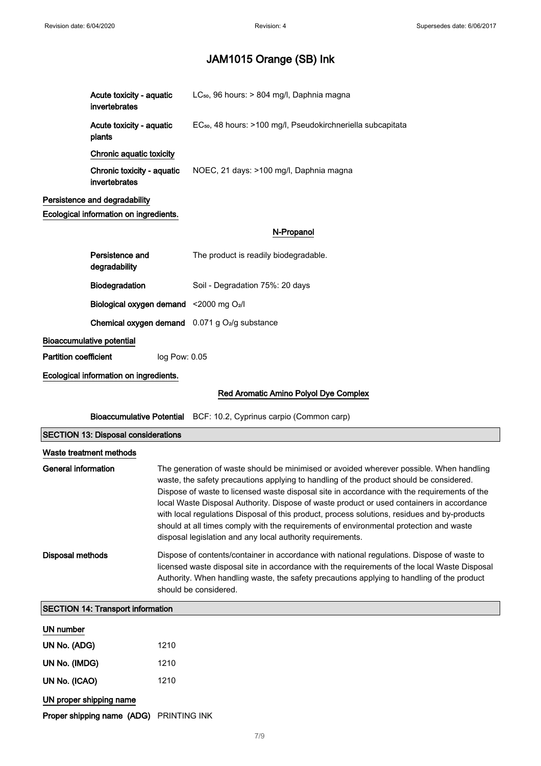| Acute toxicity - aquatic<br>invertebrates   | LC <sub>50</sub> , 96 hours: > 804 mg/l, Daphnia magna                  |
|---------------------------------------------|-------------------------------------------------------------------------|
| Acute toxicity - aquatic<br>plants          | EC <sub>50</sub> , 48 hours: >100 mg/l, Pseudokirchneriella subcapitata |
| Chronic aquatic toxicity                    |                                                                         |
| Chronic toxicity - aquatic<br>invertebrates | NOEC, 21 days: >100 mg/l, Daphnia magna                                 |
| Persistence and degradability               |                                                                         |
| Ecological information on ingredients.      |                                                                         |
|                                             | N-Propanol                                                              |
| Persistence and<br>degradability            | The product is readily biodegradable.                                   |
| Biodegradation                              | Soil - Degradation 75%: 20 days                                         |
|                                             | Biological oxygen demand <2000 mg O2/I                                  |
|                                             | <b>Chemical oxygen demand</b> $0.071$ g $O2/g$ substance                |
| <b>Bioaccumulative potential</b>            |                                                                         |
| <b>Partition coefficient</b>                | log Pow: 0.05                                                           |

Ecological information on ingredients.

### Red Aromatic Amino Polyol Dye Complex

Bioaccumulative Potential BCF: 10.2, Cyprinus carpio (Common carp)

| <b>SECTION 13: Disposal considerations</b> |                                                                                                                                                                                                                                                                                                                                                                                                                                                                                                                                                                                                                                        |  |
|--------------------------------------------|----------------------------------------------------------------------------------------------------------------------------------------------------------------------------------------------------------------------------------------------------------------------------------------------------------------------------------------------------------------------------------------------------------------------------------------------------------------------------------------------------------------------------------------------------------------------------------------------------------------------------------------|--|
| Waste treatment methods                    |                                                                                                                                                                                                                                                                                                                                                                                                                                                                                                                                                                                                                                        |  |
| General information                        | The generation of waste should be minimised or avoided wherever possible. When handling<br>waste, the safety precautions applying to handling of the product should be considered.<br>Dispose of waste to licensed waste disposal site in accordance with the requirements of the<br>local Waste Disposal Authority. Dispose of waste product or used containers in accordance<br>with local regulations Disposal of this product, process solutions, residues and by-products<br>should at all times comply with the requirements of environmental protection and waste<br>disposal legislation and any local authority requirements. |  |
| <b>Disposal methods</b>                    | Dispose of contents/container in accordance with national regulations. Dispose of waste to<br>licensed waste disposal site in accordance with the requirements of the local Waste Disposal<br>Authority. When handling waste, the safety precautions applying to handling of the product<br>should be considered.                                                                                                                                                                                                                                                                                                                      |  |
| <b>SECTION 14: Transport information</b>   |                                                                                                                                                                                                                                                                                                                                                                                                                                                                                                                                                                                                                                        |  |

### UN number

| UN No. (ADG)  | 1210 |
|---------------|------|
| UN No. (IMDG) | 1210 |
| UN No. (ICAO) | 1210 |

UN proper shipping name

Proper shipping name (ADG) PRINTING INK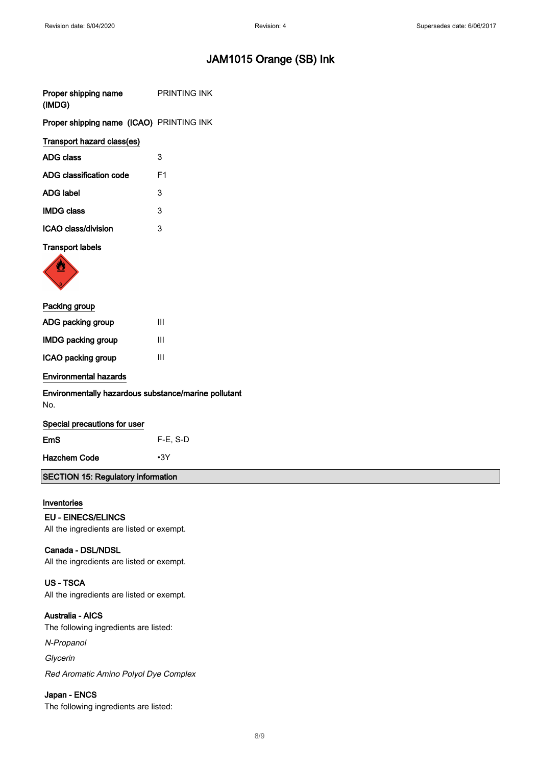| Proper shipping name                            | <b>PRINTING INK</b> |
|-------------------------------------------------|---------------------|
| (IMDG)                                          |                     |
| <b>Proper shipping name (ICAO)</b> PRINTING INK |                     |

### Transport hazard class(es)

| ADG class               | 3  |
|-------------------------|----|
| ADG classification code | F1 |
| <b>ADG label</b>        | 3  |
| <b>IMDG class</b>       | 3  |
| ICAO class/division     | 3  |

### Transport labels



| Packing group         |   |  |
|-----------------------|---|--|
| ADG packing group     | Ш |  |
| IMDG packing group    | Ш |  |
| ICAO packing group    | Ш |  |
| Environmental hazards |   |  |

### Environmentally hazardous substance/marine pollutant No.

| Special precautions for user |            |  |  |  |
|------------------------------|------------|--|--|--|
| EmS                          | $F-E. S-D$ |  |  |  |
| Hazchem Code                 | $\cdot$ 3Y |  |  |  |

### SECTION 15: Regulatory information

### Inventories

### EU - EINECS/ELINCS

All the ingredients are listed or exempt.

### Canada - DSL/NDSL

All the ingredients are listed or exempt.

### US - TSCA

All the ingredients are listed or exempt.

### Australia - AICS

The following ingredients are listed:

N-Propanol

Glycerin

Red Aromatic Amino Polyol Dye Complex

### Japan - ENCS

The following ingredients are listed: